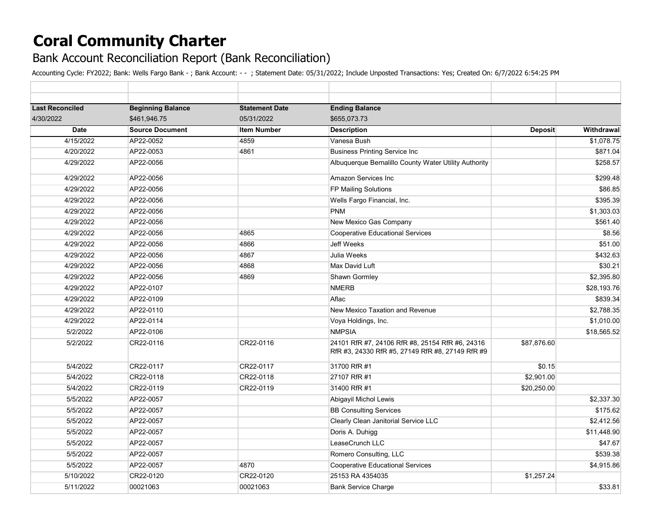## **Coral Community Charter**

## Bank Account Reconciliation Report (Bank Reconciliation)

Accounting Cycle: FY2022; Bank: Wells Fargo Bank - ; Bank Account: - - ; Statement Date: 05/31/2022; Include Unposted Transactions: Yes; Created On: 6/7/2022 6:54:25 PM

| <b>Last Reconciled</b> | <b>Beginning Balance</b> | <b>Statement Date</b> | <b>Ending Balance</b>                                                                               |                |             |  |
|------------------------|--------------------------|-----------------------|-----------------------------------------------------------------------------------------------------|----------------|-------------|--|
| 4/30/2022              | \$461.946.75             | 05/31/2022            | \$655.073.73                                                                                        |                |             |  |
| Date                   | <b>Source Document</b>   | <b>Item Number</b>    | <b>Description</b>                                                                                  | <b>Deposit</b> | Withdrawal  |  |
| 4/15/2022              | AP22-0052                | 4859                  | Vanesa Bush                                                                                         |                | \$1,078.75  |  |
| 4/20/2022              | AP22-0053                | 4861                  | <b>Business Printing Service Inc</b>                                                                |                | \$871.04    |  |
| 4/29/2022              | AP22-0056                |                       | Albuquerque Bernalillo County Water Utility Authority                                               |                | \$258.57    |  |
| 4/29/2022              | AP22-0056                |                       | <b>Amazon Services Inc</b>                                                                          |                | \$299.48    |  |
| 4/29/2022              | AP22-0056                |                       | FP Mailing Solutions                                                                                |                | \$86.85     |  |
| 4/29/2022              | AP22-0056                |                       | Wells Fargo Financial, Inc.                                                                         |                | \$395.39    |  |
| 4/29/2022              | AP22-0056                |                       | <b>PNM</b>                                                                                          |                | \$1,303.03  |  |
| 4/29/2022              | AP22-0056                |                       | New Mexico Gas Company                                                                              |                | \$561.40    |  |
| 4/29/2022              | AP22-0056                | 4865                  | <b>Cooperative Educational Services</b>                                                             |                | \$8.56      |  |
| 4/29/2022              | AP22-0056                | 4866                  | <b>Jeff Weeks</b>                                                                                   |                | \$51.00     |  |
| 4/29/2022              | AP22-0056                | 4867                  | Julia Weeks                                                                                         |                | \$432.63    |  |
| 4/29/2022              | AP22-0056                | 4868                  | Max David Luft                                                                                      |                | \$30.21     |  |
| 4/29/2022              | AP22-0056                | 4869                  | Shawn Gormley                                                                                       |                | \$2,395.80  |  |
| 4/29/2022              | AP22-0107                |                       | <b>NMERB</b>                                                                                        |                | \$28,193.76 |  |
| 4/29/2022              | AP22-0109                |                       | Aflac                                                                                               |                | \$839.34    |  |
| 4/29/2022              | AP22-0110                |                       | New Mexico Taxation and Revenue                                                                     |                | \$2,788.35  |  |
| 4/29/2022              | AP22-0114                |                       | Voya Holdings, Inc.                                                                                 |                | \$1,010.00  |  |
| 5/2/2022               | AP22-0106                |                       | <b>NMPSIA</b>                                                                                       |                | \$18,565.52 |  |
| 5/2/2022               | CR22-0116                | CR22-0116             | 24101 RfR #7, 24106 RfR #8, 25154 RfR #6, 24316<br>RfR #3, 24330 RfR #5, 27149 RfR #8, 27149 RfR #9 | \$87,876.60    |             |  |
| 5/4/2022               | CR22-0117                | CR22-0117             | 31700 RfR #1                                                                                        | \$0.15         |             |  |
| 5/4/2022               | CR22-0118                | CR22-0118             | 27107 RfR #1                                                                                        | \$2,901.00     |             |  |
| 5/4/2022               | CR22-0119                | CR22-0119             | 31400 RfR #1                                                                                        | \$20,250.00    |             |  |
| 5/5/2022               | AP22-0057                |                       | Abigayil Michol Lewis                                                                               |                | \$2,337.30  |  |
| 5/5/2022               | AP22-0057                |                       | <b>BB Consulting Services</b>                                                                       |                | \$175.62    |  |
| 5/5/2022               | AP22-0057                |                       | Clearly Clean Janitorial Service LLC                                                                |                | \$2,412.56  |  |
| 5/5/2022               | AP22-0057                |                       | Doris A. Duhigg                                                                                     |                | \$11,448.90 |  |
| 5/5/2022               | AP22-0057                |                       | LeaseCrunch LLC                                                                                     |                | \$47.67     |  |
| 5/5/2022               | AP22-0057                |                       | Romero Consulting, LLC                                                                              |                | \$539.38    |  |
| 5/5/2022               | AP22-0057                | 4870                  | <b>Cooperative Educational Services</b>                                                             |                | \$4,915.86  |  |
| 5/10/2022              | CR22-0120                | CR22-0120             | 25153 RA 4354035                                                                                    | \$1,257.24     |             |  |
| 5/11/2022              | 00021063                 | 00021063              | <b>Bank Service Charge</b>                                                                          |                | \$33.81     |  |